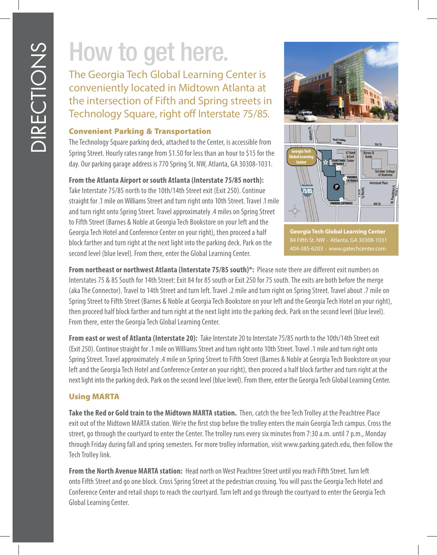## How to get here.

The Georgia Tech Global Learning Center is conveniently located in Midtown Atlanta at the intersection of Fifth and Spring streets in Technology Square, right off Interstate 75/85.

## Convenient Parking & Transportation

The Technology Square parking deck, attached to the Center, is accessible from Spring Street. Hourly rates range from \$1.50 for less than an hour to \$15 for the day. Our parking garage address is 770 Spring St. NW, Atlanta, GA 30308-1031.

## **From the Atlanta Airport or south Atlanta (Interstate 75/85 north):**

Take Interstate 75/85 north to the 10th/14th Street exit (Exit 250). Continue straight for .1 mile on Williams Street and turn right onto 10th Street. Travel .1 mile and turn right onto Spring Street. Travel approximately .4 miles on Spring Street to Fifth Street (Barnes & Noble at Georgia Tech Bookstore on your left and the Georgia Tech Hotel and Conference Center on your right), then proceed a half block farther and turn right at the next light into the parking deck. Park on the second level (blue level). From there, enter the Global Learning Center.



**Georgia Tech Global Learning Center**

**From northeast or northwest Atlanta (Interstate 75/85 south)\*:** Please note there are different exit numbers on Interstates 75 & 85 South for 14th Street: Exit 84 for 85 south or Exit 250 for 75 south. The exits are both before the merge (aka The Connector). Travel to 14th Street and turn left. Travel .2 mile and turn right on Spring Street. Travel about .7 mile on Spring Street to Fifth Street (Barnes & Noble at Georgia Tech Bookstore on your left and the Georgia Tech Hotel on your right), then proceed half block farther and turn right at the next light into the parking deck. Park on the second level (blue level). From there, enter the Georgia Tech Global Learning Center.

**From east or west of Atlanta (Interstate 20):** Take Interstate 20 to Interstate 75/85 north to the 10th/14th Street exit (Exit 250). Continue straight for .1 mile on Williams Street and turn right onto 10th Street. Travel .1 mile and turn right onto Spring Street. Travel approximately .4 mile on Spring Street to Fifth Street (Barnes & Noble at Georgia Tech Bookstore on your left and the Georgia Tech Hotel and Conference Center on your right), then proceed a half block farther and turn right at the next light into the parking deck. Park on the second level (blue level). From there, enter the Georgia Tech Global Learning Center.

## Using MARTA

**Take the Red or Gold train to the Midtown MARTA station.** Then, catch the free Tech Trolley at the Peachtree Place exit out of the Midtown MARTA station. We're the first stop before the trolley enters the main Georgia Tech campus. Cross the street, go through the courtyard to enter the Center. The trolley runs every six minutes from 7:30 a.m. until 7 p.m., Monday through Friday during fall and spring semesters. For more trolley information, visit www.parking.gatech.edu, then follow the Tech Trolley link.

**From the North Avenue MARTA station:** Head north on West Peachtree Street until you reach Fifth Street. Turn left onto Fifth Street and go one block. Cross Spring Street at the pedestrian crossing. You will pass the Georgia Tech Hotel and Conference Center and retail shops to reach the courtyard. Turn left and go through the courtyard to enter the Georgia Tech Global Learning Center.